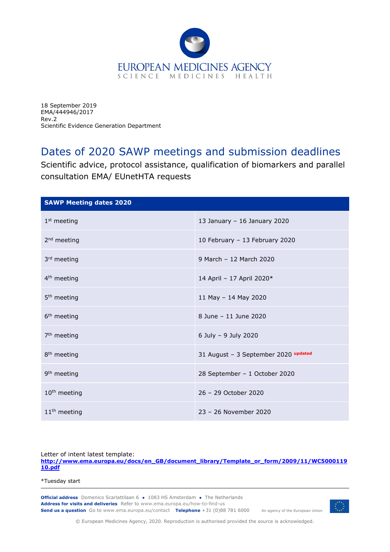

18 September 2019 EMA/444946/2017 Rev.2 Scientific Evidence Generation Department

## Dates of 2020 SAWP meetings and submission deadlines

Scientific advice, protocol assistance, qualification of biomarkers and parallel consultation EMA/ EUnetHTA requests

| <b>SAWP Meeting dates 2020</b> |                                      |  |  |  |  |  |  |
|--------------------------------|--------------------------------------|--|--|--|--|--|--|
| $1st$ meeting                  | 13 January - 16 January 2020         |  |  |  |  |  |  |
| $2nd$ meeting                  | 10 February - 13 February 2020       |  |  |  |  |  |  |
| 3rd meeting                    | 9 March - 12 March 2020              |  |  |  |  |  |  |
| 4 <sup>th</sup> meeting        | 14 April - 17 April 2020*            |  |  |  |  |  |  |
| 5 <sup>th</sup> meeting        | 11 May - 14 May 2020                 |  |  |  |  |  |  |
| 6 <sup>th</sup> meeting        | 8 June - 11 June 2020                |  |  |  |  |  |  |
| 7 <sup>th</sup> meeting        | 6 July - 9 July 2020                 |  |  |  |  |  |  |
| 8 <sup>th</sup> meeting        | 31 August - 3 September 2020 updated |  |  |  |  |  |  |
| 9 <sup>th</sup> meeting        | 28 September - 1 October 2020        |  |  |  |  |  |  |
| $10th$ meeting                 | 26 - 29 October 2020                 |  |  |  |  |  |  |
| 11 <sup>th</sup> meeting       | 23 - 26 November 2020                |  |  |  |  |  |  |

Letter of intent latest template:

**[http://www.ema.europa.eu/docs/en\\_GB/document\\_library/Template\\_or\\_form/2009/11/WC5000119](http://www.ema.europa.eu/docs/en_GB/document_library/Template_or_form/2009/11/WC500011910.pdf) [10.pdf](http://www.ema.europa.eu/docs/en_GB/document_library/Template_or_form/2009/11/WC500011910.pdf)**

\*Tuesday start

**Official address** Domenico Scarlattilaan 6 **●** 1083 HS Amsterdam **●** The Netherlands An agency of the European Union **Address for visits and deliveries** Refer to www.ema.europa.eu/how-to-find-us **Send us a question** Go to www.ema.europa.eu/contact **Telephone** +31 (0)88 781 6000



© European Medicines Agency, 2020. Reproduction is authorised provided the source is acknowledged.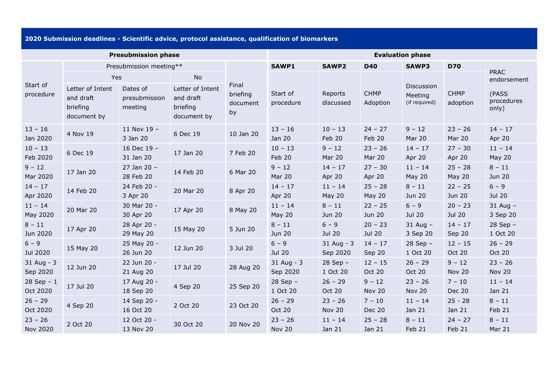**2020 Submission deadlines - Scientific advice, protocol assistance, qualification of biomarkers**

| <b>Presubmission phase</b> |                                      |                          |                                      | <b>Evaluation phase</b>    |                            |                            |                            |                           |                            |                              |
|----------------------------|--------------------------------------|--------------------------|--------------------------------------|----------------------------|----------------------------|----------------------------|----------------------------|---------------------------|----------------------------|------------------------------|
| Start of<br>procedure      | Presubmission meeting**              |                          |                                      |                            | <b>SAWP1</b>               | <b>SAWP2</b>               | <b>D40</b>                 | <b>SAWP3</b>              | <b>D70</b>                 |                              |
|                            | Yes<br>Letter of Intent<br>Dates of  |                          | <b>No</b><br>Letter of Intent        | Final                      |                            |                            |                            | Discussion                |                            | <b>PRAC</b><br>endorsement   |
|                            | and draft<br>briefing<br>document by | presubmission<br>meeting | and draft<br>briefing<br>document by | briefing<br>document<br>by | Start of<br>procedure      | Reports<br>discussed       | <b>CHMP</b><br>Adoption    | Meeting<br>(if required)  | <b>CHMP</b><br>adoption    | (PASS<br>procedures<br>only) |
| $13 - 16$<br>Jan 2020      | 4 Nov 19                             | 11 Nov 19 -<br>3 Jan 20  | 6 Dec 19                             | 10 Jan 20                  | $13 - 16$<br>Jan 20        | $10 - 13$<br>Feb 20        | $24 - 27$<br>Feb 20        | $9 - 12$<br>Mar 20        | $23 - 26$<br>Mar 20        | $14 - 17$<br>Apr 20          |
| $10 - 13$<br>Feb 2020      | 6 Dec 19                             | 16 Dec 19 -<br>31 Jan 20 | 17 Jan 20                            | 7 Feb 20                   | $10 - 13$<br>Feb 20        | $9 - 12$<br><b>Mar 20</b>  | $23 - 26$<br>Mar 20        | $14 - 17$<br>Apr 20       | $27 - 30$<br>Apr 20        | $11 - 14$<br><b>May 20</b>   |
| $9 - 12$<br>Mar 2020       | 17 Jan 20                            | 27 Jan 20 -<br>28 Feb 20 | 14 Feb 20                            | 6 Mar 20                   | $9 - 12$<br>Mar 20         | $14 - 17$<br>Apr 20        | $27 - 30$<br>Apr 20        | $11 - 14$<br>May 20       | $25 - 28$<br><b>May 20</b> | $8 - 11$<br><b>Jun 20</b>    |
| $14 - 17$<br>Apr 2020      | 14 Feb 20                            | 24 Feb 20 -<br>3 Apr 20  | 20 Mar 20                            | 8 Apr 20                   | $14 - 17$<br>Apr 20        | $11 - 14$<br><b>May 20</b> | $25 - 28$<br><b>May 20</b> | $8 - 11$<br><b>Jun 20</b> | $22 - 25$<br><b>Jun 20</b> | $6 - 9$<br><b>Jul 20</b>     |
| $11 - 14$<br>May 2020      | 20 Mar 20                            | 30 Mar 20 -<br>30 Apr 20 | 17 Apr 20                            | 8 May 20                   | $11 - 14$<br><b>May 20</b> | $8 - 11$<br><b>Jun 20</b>  | $22 - 25$<br>Jun 20        | $6 - 9$<br><b>Jul 20</b>  | $20 - 23$<br><b>Jul 20</b> | $31$ Aug -<br>3 Sep 20       |
| $8 - 11$<br>Jun 2020       | 17 Apr 20                            | 28 Apr 20 -<br>29 May 20 | 15 May 20                            | 5 Jun 20                   | $8 - 11$<br><b>Jun 20</b>  | $6 - 9$<br><b>Jul 20</b>   | $20 - 23$<br>Jul 20        | $31$ Aug $-$<br>3 Sep 20  | $14 - 17$<br>Sep 20        | $28$ Sep $-$<br>1 Oct 20     |
| $6 - 9$<br>Jul 2020        | 15 May 20                            | 25 May 20 -<br>26 Jun 20 | 12 Jun 20                            | 3 Jul 20                   | $6 - 9$<br><b>Jul 20</b>   | 31 Aug - 3<br>Sep 2020     | $14 - 17$<br>Sep 20        | 28 Sep -<br>1 Oct 20      | $12 - 15$<br>Oct 20        | $26 - 29$<br>Oct 20          |
| 31 Aug - 3<br>Sep 2020     | 12 Jun 20                            | 22 Jun 20 -<br>21 Aug 20 | 17 Jul 20                            | 28 Aug 20                  | 31 Aug - 3<br>Sep 2020     | $28$ Sep $-$<br>1 Oct 20   | $12 - 15$<br>Oct 20        | $26 - 29$<br>Oct 20       | $9 - 12$<br>Nov 20         | $23 - 26$<br>Nov 20          |
| $28$ Sep - 1<br>Oct 2020   | 17 Jul 20                            | 17 Aug 20 -<br>18 Sep 20 | 4 Sep 20                             | 25 Sep 20                  | $28$ Sep -<br>1 Oct 20     | $26 - 29$<br>Oct 20        | $9 - 12$<br>Nov 20         | $23 - 26$<br>Nov 20       | $7 - 10$<br><b>Dec 20</b>  | $11 - 14$<br>Jan 21          |
| $26 - 29$<br>Oct 2020      | 4 Sep 20                             | 14 Sep 20 -<br>16 Oct 20 | 2 Oct 20                             | 23 Oct 20                  | $26 - 29$<br><b>Oct 20</b> | $23 - 26$<br>Nov 20        | $7 - 10$<br><b>Dec 20</b>  | $11 - 14$<br>Jan 21       | $25 - 28$<br>Jan 21        | $8 - 11$<br>Feb 21           |
| $23 - 26$<br>Nov 2020      | 2 Oct 20                             | 12 Oct 20 -<br>13 Nov 20 | 30 Oct 20                            | 20 Nov 20                  | $23 - 26$<br><b>Nov 20</b> | $11 - 14$<br>Jan 21        | $25 - 28$<br>Jan 21        | $8 - 11$<br>Feb 21        | $24 - 27$<br>Feb 21        | $8 - 11$<br>Mar 21           |